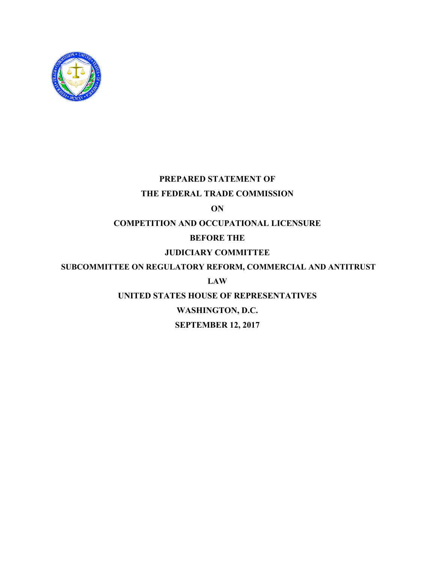

# **PREPARED STATEMENT OF**

### **THE FEDERAL TRADE COMMISSION**

**ON**

### **COMPETITION AND OCCUPATIONAL LICENSURE**

## **BEFORE THE**

# **JUDICIARY COMMITTEE**

## **SUBCOMMITTEE ON REGULATORY REFORM, COMMERCIAL AND ANTITRUST**

## **LAW**

## **UNITED STATES HOUSE OF REPRESENTATIVES**

## **WASHINGTON, D.C.**

## **SEPTEMBER 12, 2017**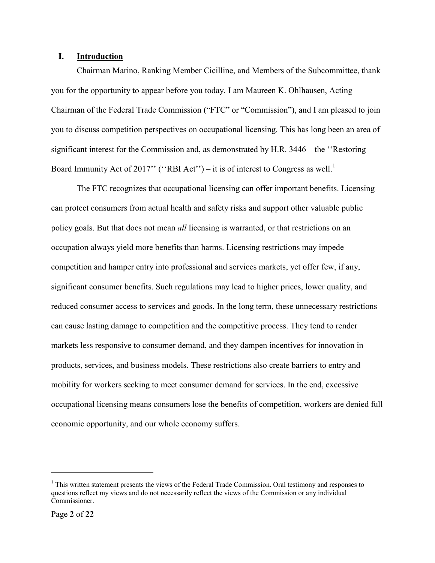### **I. Introduction**

Chairman Marino, Ranking Member Cicilline, and Members of the Subcommittee, thank you for the opportunity to appear before you today. I am Maureen K. Ohlhausen, Acting Chairman of the Federal Trade Commission ("FTC" or "Commission"), and I am pleased to join you to discuss competition perspectives on occupational licensing. This has long been an area of significant interest for the Commission and, as demonstrated by H.R. 3446 – the ''Restoring Board Immunity Act of 2017" ("RBI Act") – it is of interest to Congress as well.<sup>1</sup>

The FTC recognizes that occupational licensing can offer important benefits. Licensing can protect consumers from actual health and safety risks and support other valuable public policy goals. But that does not mean *all* licensing is warranted, or that restrictions on an occupation always yield more benefits than harms. Licensing restrictions may impede competition and hamper entry into professional and services markets, yet offer few, if any, significant consumer benefits. Such regulations may lead to higher prices, lower quality, and reduced consumer access to services and goods. In the long term, these unnecessary restrictions can cause lasting damage to competition and the competitive process. They tend to render markets less responsive to consumer demand, and they dampen incentives for innovation in products, services, and business models. These restrictions also create barriers to entry and mobility for workers seeking to meet consumer demand for services. In the end, excessive occupational licensing means consumers lose the benefits of competition, workers are denied full economic opportunity, and our whole economy suffers.

 $<sup>1</sup>$  This written statement presents the views of the Federal Trade Commission. Oral testimony and responses to</sup> questions reflect my views and do not necessarily reflect the views of the Commission or any individual Commissioner.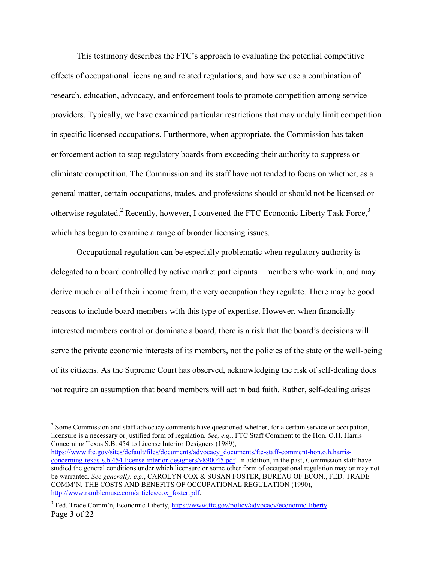This testimony describes the FTC's approach to evaluating the potential competitive effects of occupational licensing and related regulations, and how we use a combination of research, education, advocacy, and enforcement tools to promote competition among service providers. Typically, we have examined particular restrictions that may unduly limit competition in specific licensed occupations. Furthermore, when appropriate, the Commission has taken enforcement action to stop regulatory boards from exceeding their authority to suppress or eliminate competition. The Commission and its staff have not tended to focus on whether, as a general matter, certain occupations, trades, and professions should or should not be licensed or otherwise regulated.<sup>2</sup> Recently, however, I convened the FTC Economic Liberty Task Force,<sup>3</sup> which has begun to examine a range of broader licensing issues.

<span id="page-2-0"></span>Occupational regulation can be especially problematic when regulatory authority is delegated to a board controlled by active market participants – members who work in, and may derive much or all of their income from, the very occupation they regulate. There may be good reasons to include board members with this type of expertise. However, when financiallyinterested members control or dominate a board, there is a risk that the board's decisions will serve the private economic interests of its members, not the policies of the state or the well-being of its citizens. As the Supreme Court has observed, acknowledging the risk of self-dealing does not require an assumption that board members will act in bad faith. Rather, self-dealing arises

 $2^{2}$  Some Commission and staff advocacy comments have questioned whether, for a certain service or occupation, licensure is a necessary or justified form of regulation. *See, e.g.*, [FTC Staff Comment to the Hon. O.H. Harris](file:///C:/Users/Daniel/Downloads/FTC%20Staff%20Comment%20to%20the%20Hon.%20O.H.%20Harris%20Concerning%20Texas%20S.B.%20454%20to%20License%20Interior%20Designers)  [Concerning Texas S.B. 454 to License Interior Designers](file:///C:/Users/Daniel/Downloads/FTC%20Staff%20Comment%20to%20the%20Hon.%20O.H.%20Harris%20Concerning%20Texas%20S.B.%20454%20to%20License%20Interior%20Designers) (1989),

[https://www.ftc.gov/sites/default/files/documents/advocacy\\_documents/ftc-staff-comment-hon.o.h.harris](https://www.ftc.gov/sites/default/files/documents/advocacy_documents/ftc-staff-comment-hon.o.h.harris-concerning-texas-s.b.454-license-interior-designers/v890045.pdf)[concerning-texas-s.b.454-license-interior-designers/v890045.pdf.](https://www.ftc.gov/sites/default/files/documents/advocacy_documents/ftc-staff-comment-hon.o.h.harris-concerning-texas-s.b.454-license-interior-designers/v890045.pdf) In addition, in the past, Commission staff have studied the general conditions under which licensure or some other form of occupational regulation may or may not be warranted. *See generally, e.g.*, CAROLYN COX & SUSAN FOSTER, BUREAU OF ECON., FED. TRADE COMM'N, THE COSTS AND BENEFITS OF OCCUPATIONAL REGULATION (1990), [http://www.ramblemuse.com/articles/cox\\_foster.pdf.](http://www.ramblemuse.com/articles/cox_foster.pdf)

Page **3** of **22** <sup>3</sup> Fed. Trade Comm'n, Economic Liberty, [https://www.ftc.gov/policy/advocacy/economic-liberty.](https://www.ftc.gov/policy/advocacy/economic-liberty)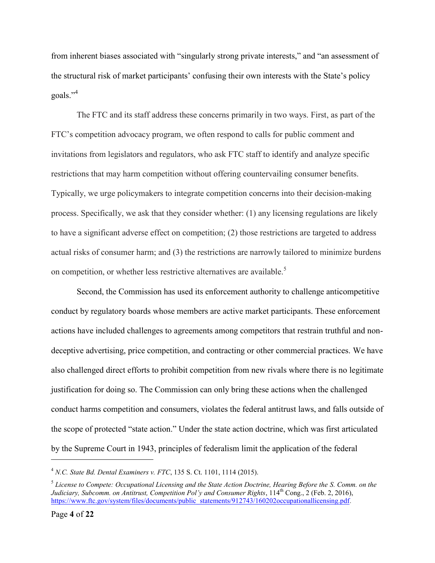from inherent biases associated with "singularly strong private interests," and "an assessment of the structural risk of market participants' confusing their own interests with the State's policy goals."<sup>4</sup>

The FTC and its staff address these concerns primarily in two ways. First, as part of the FTC's competition advocacy program, we often respond to calls for public comment and invitations from legislators and regulators, who ask FTC staff to identify and analyze specific restrictions that may harm competition without offering countervailing consumer benefits. Typically, we urge policymakers to integrate competition concerns into their decision-making process. Specifically, we ask that they consider whether: (1) any licensing regulations are likely to have a significant adverse effect on competition; (2) those restrictions are targeted to address actual risks of consumer harm; and (3) the restrictions are narrowly tailored to minimize burdens on competition, or whether less restrictive alternatives are available.<sup>5</sup>

<span id="page-3-0"></span>Second, the Commission has used its enforcement authority to challenge anticompetitive conduct by regulatory boards whose members are active market participants. These enforcement actions have included challenges to agreements among competitors that restrain truthful and nondeceptive advertising, price competition, and contracting or other commercial practices. We have also challenged direct efforts to prohibit competition from new rivals where there is no legitimate justification for doing so. The Commission can only bring these actions when the challenged conduct harms competition and consumers, violates the federal antitrust laws, and falls outside of the scope of protected "state action." Under the state action doctrine, which was first articulated by the Supreme Court in 1943, principles of federalism limit the application of the federal

<sup>4</sup> *N.C. State Bd. Dental Examiners v. FTC*, 135 S. Ct. 1101, 1114 (2015).

<sup>5</sup> *[License to Compete: Occupational Licensing and the State Action Doctrine, Hearing Before the S](https://www.ftc.gov/public-statements/2016/02/prepared-statement-federal-trade-commission-license-compete-occupational). Comm. on the Judiciary, Subcomm. on Antitrust, Competition Pol'y and Consumer Rights*, 114<sup>th</sup> Cong., 2 (Feb. 2, 2016), [https://www.ftc.gov/system/files/documents/public\\_statements/912743/160202occupationallicensing.pdf.](https://www.ftc.gov/system/files/documents/public_statements/912743/160202occupationallicensing.pdf)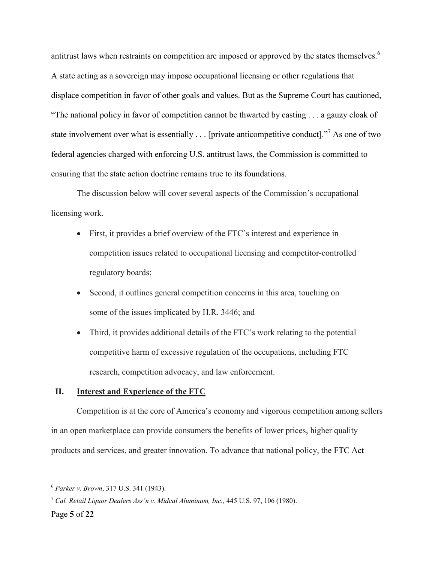antitrust laws when restraints on competition are imposed or approved by the states themselves.<sup>6</sup> A state acting as a sovereign may impose occupational licensing or other regulations that displace competition in favor of other goals and values. But as the Supreme Court has cautioned, "The national policy in favor of competition cannot be thwarted by casting . . . a gauzy cloak of state involvement over what is essentially . . . [private anticompetitive conduct]."<sup>7</sup> As one of two federal agencies charged with enforcing U.S. antitrust laws, the Commission is committed to ensuring that the state action doctrine remains true to its foundations.

The discussion below will cover several aspects of the Commission's occupational licensing work.

- <span id="page-4-0"></span> First, it provides a brief overview of the FTC's interest and experience in competition issues related to occupational licensing and competitor-controlled regulatory boards;
- Second, it outlines general competition concerns in this area, touching on some of the issues implicated by H.R. 3446; and
- Third, it provides additional details of the FTC's work relating to the potential competitive harm of excessive regulation of the occupations, including FTC research, competition advocacy, and law enforcement.

#### **II. Interest and Experience of the FTC**

Competition is at the core of America's economy and vigorous competition among sellers in an open marketplace can provide consumers the benefits of lower prices, higher quality products and services, and greater innovation. To advance that national policy, the FTC Act

<sup>6</sup> *Parker v. Brown*, 317 U.S. 341 (1943).

<sup>7</sup> *Cal. Retail Liquor Dealers Ass'n v. Midcal Aluminum, Inc.,* 445 U.S. 97, 106 (1980).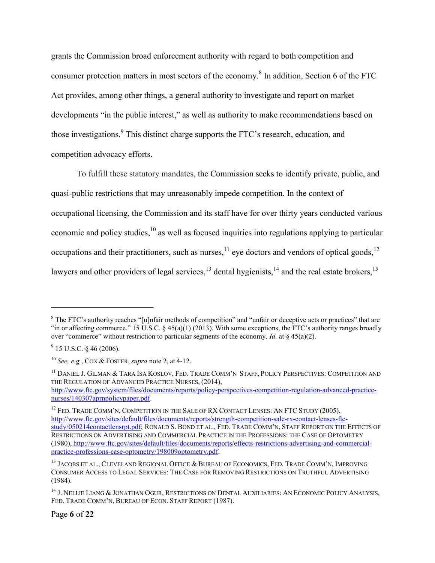grants the Commission broad enforcement authority with regard to both competition and consumer protection matters in most sectors of the economy.<sup>8</sup> In addition, Section 6 of the FTC Act provides, among other things, a general authority to investigate and report on market developments "in the public interest," as well as authority to make recommendations based on those investigations.<sup>9</sup> This distinct charge supports the FTC's research, education, and competition advocacy efforts.

To fulfill these statutory mandates, the Commission seeks to identify private, public, and quasi-public restrictions that may unreasonably impede competition. In the context of occupational licensing, the Commission and its staff have for over thirty years conducted various economic and policy studies,<sup>10</sup> as well as focused inquiries into regulations applying to particular occupations and their practitioners, such as nurses,  $^{11}$  eye doctors and vendors of optical goods,  $^{12}$ lawyers and other providers of legal services,  $^{13}$  dental hygienists,  $^{14}$  and the real estate brokers,  $^{15}$ 

<span id="page-5-0"></span> $\overline{a}$ 

<sup>11</sup> DANIEL J. GILMAN & TARA ISA KOSLOV, FED. TRADE COMM'N STAFF, POLICY PERSPECTIVES: COMPETITION AND THE REGULATION OF ADVANCED PRACTICE NURSES, (2014),

[http://www.ftc.gov/system/files/documents/reports/policy-perspectives-competition-regulation-advanced-practice](http://www.ftc.gov/system/files/documents/reports/policy-perspectives-competition-regulation-advanced-practice-nurses/140307aprnpolicypaper.pdf)[nurses/140307aprnpolicypaper.pdf.](http://www.ftc.gov/system/files/documents/reports/policy-perspectives-competition-regulation-advanced-practice-nurses/140307aprnpolicypaper.pdf)

<sup>12</sup> FED. TRADE COMM'N, COMPETITION IN THE SALE OF RX CONTACT LENSES: AN FTC STUDY (2005), [http://www.ftc.gov/sites/default/files/documents/reports/strength-competition-sale-rx-contact-lenses-ftc](http://www.ftc.gov/sites/default/files/documents/reports/strength-competition-sale-rx-contact-lenses-ftc-study/050214contactlensrpt.pdf)[study/050214contactlensrpt.pdf;](http://www.ftc.gov/sites/default/files/documents/reports/strength-competition-sale-rx-contact-lenses-ftc-study/050214contactlensrpt.pdf) RONALD S. BOND ET AL., FED. TRADE COMM'N, STAFF REPORT ON THE EFFECTS OF RESTRICTIONS ON ADVERTISING AND COMMERCIAL PRACTICE IN THE PROFESSIONS: THE CASE OF OPTOMETRY (1980), [http://www.ftc.gov/sites/default/files/documents/reports/effects-restrictions-advertising-and-commercial](http://www.ftc.gov/sites/default/files/documents/reports/effects-restrictions-advertising-and-commercial-practice-professions-case-optometry/198009optometry.pdf)[practice-professions-case-optometry/198009optometry.pdf.](http://www.ftc.gov/sites/default/files/documents/reports/effects-restrictions-advertising-and-commercial-practice-professions-case-optometry/198009optometry.pdf)

<sup>&</sup>lt;sup>8</sup> The FTC's authority reaches "[u]nfair methods of competition" and "unfair or deceptive acts or practices" that are "in or affecting commerce." 15 U.S.C.  $\S$  45(a)(1) (2013). With some exceptions, the FTC's authority ranges broadly over "commerce" without restriction to particular segments of the economy. *Id.* at § 45(a)(2).

<sup>9</sup> 15 U.S.C. § 46 (2006)*.*

<sup>10</sup> *See, e.g.*, COX & FOSTER, *supra* not[e 2,](#page-2-0) at 4-12.

<sup>&</sup>lt;sup>13</sup> JACOBS ET AL., CLEVELAND REGIONAL OFFICE & BUREAU OF ECONOMICS, FED. TRADE COMM'N, IMPROVING CONSUMER ACCESS TO LEGAL SERVICES: THE CASE FOR REMOVING RESTRICTIONS ON TRUTHFUL ADVERTISING (1984).

<sup>&</sup>lt;sup>14</sup> J. NELLIE LIANG & JONATHAN OGUR, RESTRICTIONS ON DENTAL AUXILIARIES: AN ECONOMIC POLICY ANALYSIS, FED. TRADE COMM'N, BUREAU OF ECON. STAFF REPORT (1987).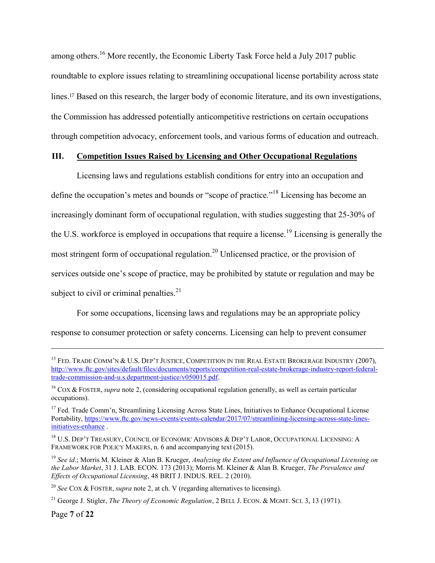among others.<sup>16</sup> More recently, the Economic Liberty Task Force held a July 2017 public roundtable to explore issues relating to streamlining occupational license portability across state lines.<sup>17</sup> Based on this research, the larger body of economic literature, and its own investigations, the Commission has addressed potentially anticompetitive restrictions on certain occupations through competition advocacy, enforcement tools, and various forms of education and outreach.

### **III. Competition Issues Raised by Licensing and Other Occupational Regulations**

<span id="page-6-0"></span>Licensing laws and regulations establish conditions for entry into an occupation and define the occupation's metes and bounds or "scope of practice."<sup>18</sup> Licensing has become an increasingly dominant form of occupational regulation, with studies suggesting that 25-30% of the U.S. workforce is employed in occupations that require a license.<sup>19</sup> Licensing is generally the most stringent form of occupational regulation.<sup>20</sup> Unlicensed practice, or the provision of services outside one's scope of practice, may be prohibited by statute or regulation and may be subject to civil or criminal penalties. $2<sup>1</sup>$ 

For some occupations, licensing laws and regulations may be an appropriate policy response to consumer protection or safety concerns. Licensing can help to prevent consumer

Page **7** of **22**

<sup>&</sup>lt;sup>15</sup> FED. TRADE COMM'N & U.S. DEP'T JUSTICE, COMPETITION IN THE REAL ESTATE BROKERAGE INDUSTRY (2007), [http://www.ftc.gov/sites/default/files/documents/reports/competition-real-estate-brokerage-industry-report-federal](http://www.ftc.gov/sites/default/files/documents/reports/competition-real-estate-brokerage-industry-report-federal-trade-commission-and-u.s.department-justice/v050015.pdf)[trade-commission-and-u.s.department-justice/v050015.pdf.](http://www.ftc.gov/sites/default/files/documents/reports/competition-real-estate-brokerage-industry-report-federal-trade-commission-and-u.s.department-justice/v050015.pdf)

<sup>&</sup>lt;sup>16</sup> COX & FOSTER, *supra* note [2,](#page-2-0) (considering occupational regulation generally, as well as certain particular occupations).

<sup>&</sup>lt;sup>17</sup> Fed. Trade Comm'n, Streamlining Licensing Across State Lines, Initiatives to Enhance Occupational License Portability, [https://www.ftc.gov/news-events/events-calendar/2017/07/streamlining-licensing-across-state-lines](https://www.ftc.gov/news-events/events-calendar/2017/07/streamlining-licensing-across-state-lines-initiatives-enhance)[initiatives-enhance](https://www.ftc.gov/news-events/events-calendar/2017/07/streamlining-licensing-across-state-lines-initiatives-enhance) .

<sup>&</sup>lt;sup>18</sup> U.S. DEP'T TREASURY, COUNCIL OF ECONOMIC ADVISORS & DEP'T LABOR, OCCUPATIONAL LICENSING: A FRAMEWORK FOR POLICY MAKERS, n. 6 and accompanying text (2015).

<sup>19</sup> *See id*.; Morris M. Kleiner & Alan B. Krueger, *Analyzing the Extent and Influence of Occupational Licensing on the Labor Market*, 31 J. LAB. ECON. 173 (2013); Morris M. Kleiner & Alan B. Krueger, *The Prevalence and Effects of Occupational Licensing*, 48 BRIT J. INDUS. REL. 2 (2010).

<sup>20</sup> *See* COX & FOSTER, *supra* note [2,](#page-2-0) at ch. V (regarding alternatives to licensing).

<sup>21</sup> George J. Stigler, *The Theory of Economic Regulation*, 2 BELL J. ECON. & MGMT. SCI. 3, 13 (1971).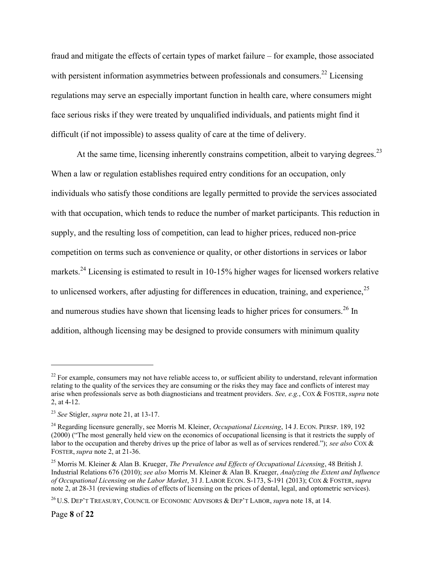fraud and mitigate the effects of certain types of market failure – for example, those associated with persistent information asymmetries between professionals and consumers.<sup>22</sup> Licensing regulations may serve an especially important function in health care, where consumers might face serious risks if they were treated by unqualified individuals, and patients might find it difficult (if not impossible) to assess quality of care at the time of delivery.

At the same time, licensing inherently constrains competition, albeit to varying degrees.<sup>23</sup> When a law or regulation establishes required entry conditions for an occupation, only individuals who satisfy those conditions are legally permitted to provide the services associated with that occupation, which tends to reduce the number of market participants. This reduction in supply, and the resulting loss of competition, can lead to higher prices, reduced non-price competition on terms such as convenience or quality, or other distortions in services or labor markets.<sup>24</sup> Licensing is estimated to result in 10-15% higher wages for licensed workers relative to unlicensed workers, after adjusting for differences in education, training, and experience,  $25$ and numerous studies have shown that licensing leads to higher prices for consumers.<sup>26</sup> In addition, although licensing may be designed to provide consumers with minimum quality

 $^{22}$  For example, consumers may not have reliable access to, or sufficient ability to understand, relevant information relating to the quality of the services they are consuming or the risks they may face and conflicts of interest may arise when professionals serve as both diagnosticians and treatment providers. *See, e.g.*, COX & FOSTER, *supra* note [2,](#page-2-0) at 4-12.

<sup>23</sup> *See* Stigler, *supra* note 21, at 13-17.

<sup>24</sup> Regarding licensure generally, see Morris M. Kleiner, *Occupational Licensing*, 14 J. ECON. PERSP. 189, 192 (2000) ("The most generally held view on the economics of occupational licensing is that it restricts the supply of labor to the occupation and thereby drives up the price of labor as well as of services rendered."); *see also* COX & FOSTER, *supra* note [2,](#page-2-0) at 21-36.

<sup>25</sup> Morris M. Kleiner & Alan B. Krueger, *The Prevalence and Effects of Occupational Licensing*, 48 British J. Industrial Relations 676 (2010); *see also* Morris M. Kleiner & Alan B. Krueger, *Analyzing the Extent and Influence of Occupational Licensing on the Labor Market*, 31 J. LABOR ECON. S-173, S-191 (2013); COX & FOSTER, *supra*  not[e 2,](#page-2-0) at 28-31 (reviewing studies of effects of licensing on the prices of dental, legal, and optometric services).

<sup>26</sup> U.S. DEP'T TREASURY, COUNCIL OF ECONOMIC ADVISORS & DEP'T LABOR, *supr*a note [18,](#page-6-0) at 14.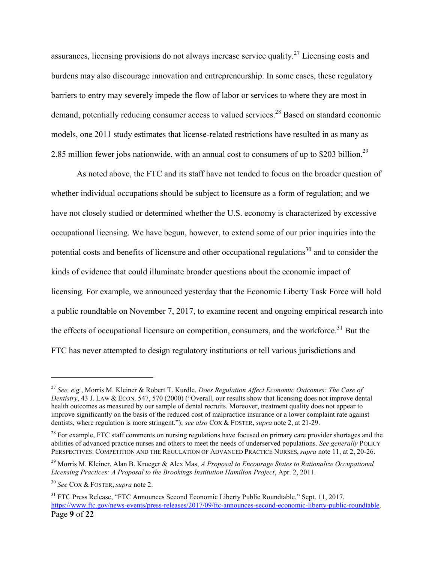assurances, licensing provisions do not always increase service quality.<sup>27</sup> Licensing costs and burdens may also discourage innovation and entrepreneurship. In some cases, these regulatory barriers to entry may severely impede the flow of labor or services to where they are most in demand, potentially reducing consumer access to valued services.<sup>28</sup> Based on standard economic models, one 2011 study estimates that license-related restrictions have resulted in as many as 2.85 million fewer jobs nationwide, with an annual cost to consumers of up to \$203 billion.<sup>29</sup>

As noted above, the FTC and its staff have not tended to focus on the broader question of whether individual occupations should be subject to licensure as a form of regulation; and we have not closely studied or determined whether the U.S. economy is characterized by excessive occupational licensing. We have begun, however, to extend some of our prior inquiries into the potential costs and benefits of licensure and other occupational regulations<sup>30</sup> and to consider the kinds of evidence that could illuminate broader questions about the economic impact of licensing. For example, we announced yesterday that the Economic Liberty Task Force will hold a public roundtable on November 7, 2017, to examine recent and ongoing empirical research into the effects of occupational licensure on competition, consumers, and the workforce.<sup>31</sup> But the FTC has never attempted to design regulatory institutions or tell various jurisdictions and

<sup>27</sup> *See, e.g.*, Morris M. Kleiner & Robert T. Kurdle, *Does Regulation Affect Economic Outcomes: The Case of Dentistry*, 43 J. LAW & ECON. 547, 570 (2000) ("Overall, our results show that licensing does not improve dental health outcomes as measured by our sample of dental recruits. Moreover, treatment quality does not appear to improve significantly on the basis of the reduced cost of malpractice insurance or a lower complaint rate against dentists, where regulation is more stringent."); *see also* COX & FOSTER, *supra* note 2, at 21-29.

<sup>&</sup>lt;sup>28</sup> For example, FTC staff comments on nursing regulations have focused on primary care provider shortages and the abilities of advanced practice nurses and others to meet the needs of underserved populations. *See generally* POLICY PERSPECTIVES: COMPETITION AND THE REGULATION OF ADVANCED PRACTICE NURSES, *supra* not[e 11,](#page-5-0) at 2, 20-26.

<sup>29</sup> Morris M. Kleiner, Alan B. Krueger & Alex Mas, *A Proposal to Encourage States to Rationalize Occupational Licensing Practices: A Proposal to the Brookings Institution Hamilton Project*, Apr. 2, 2011.

<sup>30</sup> *See* COX & FOSTER, *supra* note [2.](#page-2-0)

Page **9** of **22** <sup>31</sup> FTC Press Release, "FTC Announces Second Economic Liberty Public Roundtable," Sept. 11, 2017, [https://www.ftc.gov/news-events/press-releases/2017/09/ftc-announces-second-economic-liberty-public-roundtable.](https://www.ftc.gov/news-events/press-releases/2017/09/ftc-announces-second-economic-liberty-public-roundtable)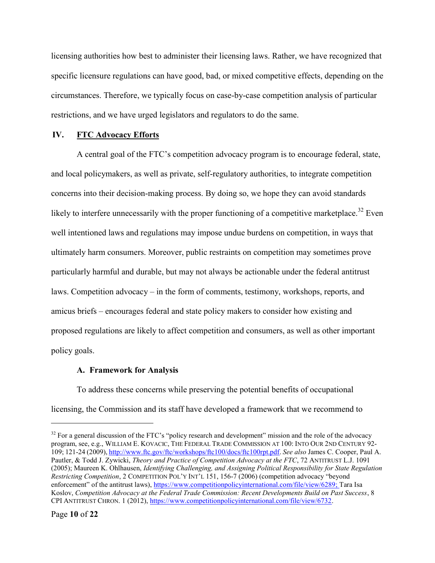licensing authorities how best to administer their licensing laws. Rather, we have recognized that specific licensure regulations can have good, bad, or mixed competitive effects, depending on the circumstances. Therefore, we typically focus on case-by-case competition analysis of particular restrictions, and we have urged legislators and regulators to do the same.

### **IV. FTC Advocacy Efforts**

A central goal of the FTC's competition advocacy program is to encourage federal, state, and local policymakers, as well as private, self-regulatory authorities, to integrate competition concerns into their decision-making process. By doing so, we hope they can avoid standards likely to interfere unnecessarily with the proper functioning of a competitive marketplace.<sup>32</sup> Even well intentioned laws and regulations may impose undue burdens on competition, in ways that ultimately harm consumers. Moreover, public restraints on competition may sometimes prove particularly harmful and durable, but may not always be actionable under the federal antitrust laws. Competition advocacy – in the form of comments, testimony, workshops, reports, and amicus briefs – encourages federal and state policy makers to consider how existing and proposed regulations are likely to affect competition and consumers, as well as other important policy goals.

#### **A. Framework for Analysis**

To address these concerns while preserving the potential benefits of occupational licensing, the Commission and its staff have developed a framework that we recommend to

 $32$  For a general discussion of the FTC's "policy research and development" mission and the role of the advocacy program, see, e.g., WILLIAM E. KOVACIC, THE FEDERAL TRADE COMMISSION AT 100: INTO OUR 2ND CENTURY 92- 109; 121-24 (2009), [http://www.ftc.gov/ftc/workshops/ftc100/docs/ftc100rpt.pdf.](http://www.ftc.gov/ftc/workshops/ftc100/docs/ftc100rpt.pdf) *See also* James C. Cooper, Paul A. Pautler, & Todd J. Zywicki, *Theory and Practice of Competition Advocacy at the FTC*, 72 ANTITRUST L.J. 1091 (2005); Maureen K. Ohlhausen, *Identifying Challenging, and Assigning Political Responsibility for State Regulation Restricting Competition*, 2 COMPETITION POL'Y INT'L 151, 156-7 (2006) (competition advocacy "beyond enforcement" of the antitrust laws), [https://www.competitionpolicyinternational.com/file/view/6289;](https://www.competitionpolicyinternational.com/file/view/6289) Tara Isa Koslov, *Competition Advocacy at the Federal Trade Commission: Recent Developments Build on Past Success*, 8 CPI ANTITRUST CHRON. 1 (2012), [https://www.competitionpolicyinternational.com/file/view/6732.](https://www.competitionpolicyinternational.com/file/view/6732)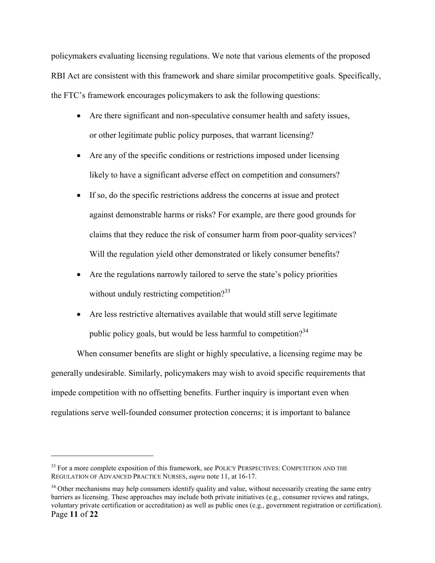policymakers evaluating licensing regulations. We note that various elements of the proposed RBI Act are consistent with this framework and share similar procompetitive goals. Specifically, the FTC's framework encourages policymakers to ask the following questions:

- Are there significant and non-speculative consumer health and safety issues, or other legitimate public policy purposes, that warrant licensing?
- Are any of the specific conditions or restrictions imposed under licensing likely to have a significant adverse effect on competition and consumers?
- If so, do the specific restrictions address the concerns at issue and protect against demonstrable harms or risks? For example, are there good grounds for claims that they reduce the risk of consumer harm from poor-quality services? Will the regulation yield other demonstrated or likely consumer benefits?
- Are the regulations narrowly tailored to serve the state's policy priorities without unduly restricting competition? $33$
- Are less restrictive alternatives available that would still serve legitimate public policy goals, but would be less harmful to competition?<sup>34</sup>

When consumer benefits are slight or highly speculative, a licensing regime may be generally undesirable. Similarly, policymakers may wish to avoid specific requirements that impede competition with no offsetting benefits. Further inquiry is important even when regulations serve well-founded consumer protection concerns; it is important to balance

<sup>&</sup>lt;sup>33</sup> For a more complete exposition of this framework, see POLICY PERSPECTIVES: COMPETITION AND THE REGULATION OF ADVANCED PRACTICE NURSES, *supra* note [11,](#page-5-0) at 16-17.

Page **11** of **22** <sup>34</sup> Other mechanisms may help consumers identify quality and value, without necessarily creating the same entry barriers as licensing. These approaches may include both private initiatives (e.g., consumer reviews and ratings, voluntary private certification or accreditation) as well as public ones (e.g., government registration or certification).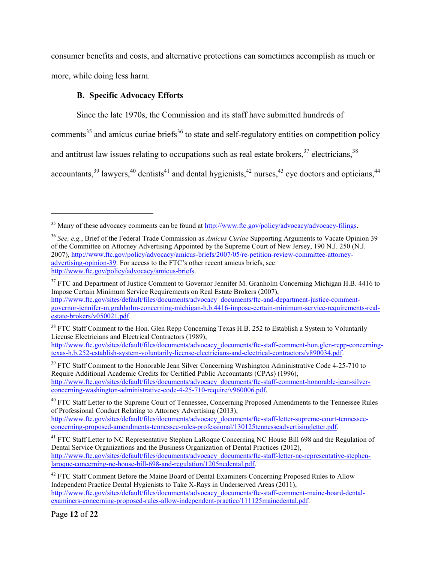consumer benefits and costs, and alternative protections can sometimes accomplish as much or more, while doing less harm.

### **B. Specific Advocacy Efforts**

Since the late 1970s, the Commission and its staff have submitted hundreds of

comments<sup>35</sup> and amicus curiae briefs<sup>36</sup> to state and self-regulatory entities on competition policy

and antitrust law issues relating to occupations such as real estate brokers,  $37$  electricians,  $38$ 

accountants,  $39$  lawyers,  $40$  dentists  $41$  and dental hygienists,  $42$  nurses,  $43$  eye doctors and opticians,  $44$ 

<sup>38</sup> FTC Staff Comment to the Hon. Glen Repp Concerning Texas H.B. 252 to Establish a System to Voluntarily License Electricians and Electrical Contractors (1989),

[http://www.ftc.gov/sites/default/files/documents/advocacy\\_documents/ftc-staff-comment-hon.glen-repp-concerning](http://www.ftc.gov/sites/default/files/documents/advocacy_documents/ftc-staff-comment-hon.glen-repp-concerning-texas-h.b.252-establish-system-voluntarily-license-electricians-and-electrical-contractors/v890034.pdf)[texas-h.b.252-establish-system-voluntarily-license-electricians-and-electrical-contractors/v890034.pdf.](http://www.ftc.gov/sites/default/files/documents/advocacy_documents/ftc-staff-comment-hon.glen-repp-concerning-texas-h.b.252-establish-system-voluntarily-license-electricians-and-electrical-contractors/v890034.pdf)

<sup>39</sup> FTC Staff Comment to the Honorable Jean Silver Concerning Washington Administrative Code 4-25-710 to Require Additional Academic Credits for Certified Public Accountants (CPAs) (1996), [http://www.ftc.gov/sites/default/files/documents/advocacy\\_documents/ftc-staff-comment-honorable-jean-silver](http://www.ftc.gov/sites/default/files/documents/advocacy_documents/ftc-staff-comment-honorable-jean-silver-concerning-washington-administrative-code-4-25-710-require/v960006.pdf)[concerning-washington-administrative-code-4-25-710-require/v960006.pdf.](http://www.ftc.gov/sites/default/files/documents/advocacy_documents/ftc-staff-comment-honorable-jean-silver-concerning-washington-administrative-code-4-25-710-require/v960006.pdf)

<sup>40</sup> FTC Staff Letter to the Supreme Court of Tennessee, Concerning Proposed Amendments to the Tennessee Rules [of Professional Conduct Relating to Attorney Advertising](http://www.ftc.gov/sites/default/files/documents/advocacy_documents/ftc-staff-letter-supreme-court-tennessee-concerning-proposed-amendments-tennessee-rules-professional/130125tennesseadvertisingletter.pdf) (2013), [http://www.ftc.gov/sites/default/files/documents/advocacy\\_documents/ftc-staff-letter-supreme-court-tennessee-](http://www.ftc.gov/sites/default/files/documents/advocacy_documents/ftc-staff-letter-supreme-court-tennessee-concerning-proposed-amendments-tennessee-rules-professional/130125tennesseadvertisingletter.pdf)

[concerning-proposed-amendments-tennessee-rules-professional/130125tennesseadvertisingletter.pdf.](http://www.ftc.gov/sites/default/files/documents/advocacy_documents/ftc-staff-letter-supreme-court-tennessee-concerning-proposed-amendments-tennessee-rules-professional/130125tennesseadvertisingletter.pdf) 

<sup>41</sup> FTC Staff Letter to NC Representative Stephen LaRoque Concerning NC House Bill 698 and the Regulation of [Dental Service Organizations and the Business Organization of Dental Practices](http://www.ftc.gov/sites/default/files/documents/advocacy_documents/ftc-staff-letter-nc-representative-stephen-laroque-concerning-nc-house-bill-698-and-regulation/1205ncdental.pdf) (2012), [http://www.ftc.gov/sites/default/files/documents/advocacy\\_documents/ftc-staff-letter-nc-representative-stephen](http://www.ftc.gov/sites/default/files/documents/advocacy_documents/ftc-staff-letter-nc-representative-stephen-laroque-concerning-nc-house-bill-698-and-regulation/1205ncdental.pdf)[laroque-concerning-nc-house-bill-698-and-regulation/1205ncdental.pdf.](http://www.ftc.gov/sites/default/files/documents/advocacy_documents/ftc-staff-letter-nc-representative-stephen-laroque-concerning-nc-house-bill-698-and-regulation/1205ncdental.pdf)

<sup>42</sup> FTC Staff Comment Before the Maine Board of Dental Examiners Concerning Proposed Rules to Allow [Independent Practice Dental Hygienists to Take X-Rays in Underserved Areas](http://www.ftc.gov/sites/default/files/documents/advocacy_documents/ftc-staff-comment-maine-board-dental-examiners-concerning-proposed-rules-allow-independent-practice/111125mainedental.pdf) (2011), [http://www.ftc.gov/sites/default/files/documents/advocacy\\_documents/ftc-staff-comment-maine-board-dental](http://www.ftc.gov/sites/default/files/documents/advocacy_documents/ftc-staff-comment-maine-board-dental-examiners-concerning-proposed-rules-allow-independent-practice/111125mainedental.pdf)[examiners-concerning-proposed-rules-allow-independent-practice/111125mainedental.pdf.](http://www.ftc.gov/sites/default/files/documents/advocacy_documents/ftc-staff-comment-maine-board-dental-examiners-concerning-proposed-rules-allow-independent-practice/111125mainedental.pdf)

<sup>&</sup>lt;sup>35</sup> Many of these advocacy comments can be found at [http://www.ftc.gov/policy/advocacy/advocacy-filings.](http://www.ftc.gov/policy/advocacy/advocacy-filings)

<sup>36</sup> *See, e.g.*, Brief of the Federal Trade Commission as *Amicus Curiae* Supporting Arguments to Vacate Opinion 39 of the Committee on Attorney Advertising Appointed by the Supreme Court of New Jersey, 190 N.J. 250 (N.J. 2007), [http://www.ftc.gov/policy/advocacy/amicus-briefs/2007/05/re-petition-review-committee-attorney](http://www.ftc.gov/policy/advocacy/amicus-briefs/2007/05/re-petition-review-committee-attorney-advertising-opinion-39)[advertising-opinion-39](http://www.ftc.gov/policy/advocacy/amicus-briefs/2007/05/re-petition-review-committee-attorney-advertising-opinion-39). For access to the FTC's other recent amicus briefs, see [http://www.ftc.gov/policy/advocacy/amicus-briefs.](http://www.ftc.gov/policy/advocacy/amicus-briefs)

<sup>&</sup>lt;sup>37</sup> FTC and Department of Justice Comment to Governor Jennifer M. Granholm Concerning Michigan H.B. 4416 to [Impose Certain Minimum Service Requirements on Real Estate Brokers](http://www.ftc.gov/sites/default/files/documents/advocacy_documents/ftc-and-department-justice-comment-governor-jennifer-m.grahholm-concerning-michigan-h.b.4416-impose-certain-minimum-service-requirements-real-estate-brokers/v050021.pdf) (2007), [http://www.ftc.gov/sites/default/files/documents/advocacy\\_documents/ftc-and-department-justice-comment](http://www.ftc.gov/sites/default/files/documents/advocacy_documents/ftc-and-department-justice-comment-governor-jennifer-m.grahholm-concerning-michigan-h.b.4416-impose-certain-minimum-service-requirements-real-estate-brokers/v050021.pdf)[governor-jennifer-m.grahholm-concerning-michigan-h.b.4416-impose-certain-minimum-service-requirements-real](http://www.ftc.gov/sites/default/files/documents/advocacy_documents/ftc-and-department-justice-comment-governor-jennifer-m.grahholm-concerning-michigan-h.b.4416-impose-certain-minimum-service-requirements-real-estate-brokers/v050021.pdf)[estate-brokers/v050021.pdf.](http://www.ftc.gov/sites/default/files/documents/advocacy_documents/ftc-and-department-justice-comment-governor-jennifer-m.grahholm-concerning-michigan-h.b.4416-impose-certain-minimum-service-requirements-real-estate-brokers/v050021.pdf)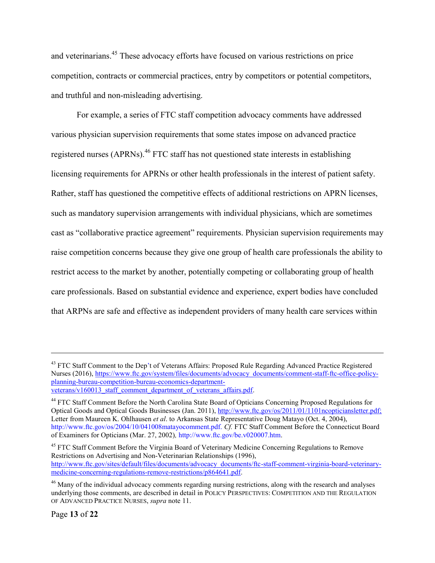and veterinarians.<sup>45</sup> These advocacy efforts have focused on various restrictions on price competition, contracts or commercial practices, entry by competitors or potential competitors, and truthful and non-misleading advertising.

For example, a series of FTC staff competition advocacy comments have addressed various physician supervision requirements that some states impose on advanced practice registered nurses (APRNs).<sup>46</sup> FTC staff has not questioned state interests in establishing licensing requirements for APRNs or other health professionals in the interest of patient safety. Rather, staff has questioned the competitive effects of additional restrictions on APRN licenses, such as mandatory supervision arrangements with individual physicians, which are sometimes cast as "collaborative practice agreement" requirements. Physician supervision requirements may raise competition concerns because they give one group of health care professionals the ability to restrict access to the market by another, potentially competing or collaborating group of health care professionals. Based on substantial evidence and experience, expert bodies have concluded that ARPNs are safe and effective as independent providers of many health care services within

<sup>&</sup>lt;sup>43</sup> FTC Staff Comment to the Dep't of Veterans Affairs: Proposed Rule Regarding Advanced Practice Registered [Nurses](https://www.ftc.gov/policy/policy-actions/advocacy-filings/2016/07/ftc-staff-comment-department-veterans-affairs) (2016), [https://www.ftc.gov/system/files/documents/advocacy\\_documents/comment-staff-ftc-office-policy](https://www.ftc.gov/system/files/documents/advocacy_documents/comment-staff-ftc-office-policy-planning-bureau-competition-bureau-economics-department-veterans/v160013_staff_comment_department_of_veterans_affairs.pdf)[planning-bureau-competition-bureau-economics-department](https://www.ftc.gov/system/files/documents/advocacy_documents/comment-staff-ftc-office-policy-planning-bureau-competition-bureau-economics-department-veterans/v160013_staff_comment_department_of_veterans_affairs.pdf)[veterans/v160013\\_staff\\_comment\\_department\\_of\\_veterans\\_affairs.pdf.](https://www.ftc.gov/system/files/documents/advocacy_documents/comment-staff-ftc-office-policy-planning-bureau-competition-bureau-economics-department-veterans/v160013_staff_comment_department_of_veterans_affairs.pdf)

<sup>&</sup>lt;sup>44</sup> FTC Staff Comment Before the North Carolina State Board of Opticians Concerning Proposed Regulations for [Optical Goods and Optical Goods Businesses](http://www.ftc.gov/os/2011/01/1101ncopticiansletter.pdf) (Jan. 2011)[, http://www.ftc.gov/os/2011/01/1101ncopticiansletter.pdf;](http://www.ftc.gov/os/2011/01/1101ncopticiansletter.pdf) Letter from Maureen K. Ohlhausen *et al*. to Arkansas State Representative Doug Matayo (Oct. 4, 2004), http://www.ftc.gov/os/2004/10/041008matayocomment.pdf. *Cf.* FTC Staff Comment Before the Connecticut Board of Examiners for Opticians (Mar. 27, 2002)*,* http://www.ftc.gov/be.v020007.htm.

<sup>&</sup>lt;sup>45</sup> FTC Staff Comment Before the Virginia Board of Veterinary Medicine Concerning Regulations to Remove [Restrictions on Advertising and Non-Veterinarian Relationships](http://www.ftc.gov/sites/default/files/documents/advocacy_documents/ftc-staff-comment-virginia-board-veterinary-medicine-concerning-regulations-remove-restrictions/p864641.pdf) (1996), [http://www.ftc.gov/sites/default/files/documents/advocacy\\_documents/ftc-staff-comment-virginia-board-veterinary](http://www.ftc.gov/sites/default/files/documents/advocacy_documents/ftc-staff-comment-virginia-board-veterinary-medicine-concerning-regulations-remove-restrictions/p864641.pdf)[medicine-concerning-regulations-remove-restrictions/p864641.pdf.](http://www.ftc.gov/sites/default/files/documents/advocacy_documents/ftc-staff-comment-virginia-board-veterinary-medicine-concerning-regulations-remove-restrictions/p864641.pdf)

<sup>&</sup>lt;sup>46</sup> Many of the individual advocacy comments regarding nursing restrictions, along with the research and analyses underlying those comments, are described in detail in POLICY PERSPECTIVES: COMPETITION AND THE REGULATION OF ADVANCED PRACTICE NURSES, *supra* not[e 11.](#page-5-0)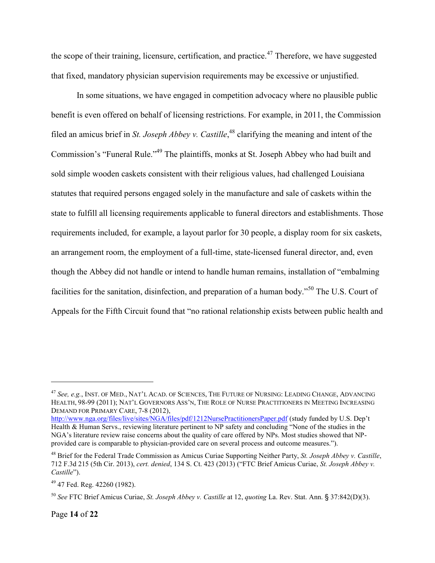the scope of their training, licensure, certification, and practice.<sup>47</sup> Therefore, we have suggested that fixed, mandatory physician supervision requirements may be excessive or unjustified.

In some situations, we have engaged in competition advocacy where no plausible public benefit is even offered on behalf of licensing restrictions. For example, in 2011, the Commission filed an amicus brief in *St. Joseph Abbey v. Castille*, <sup>48</sup> clarifying the meaning and intent of the Commission's "Funeral Rule."<sup>49</sup> The plaintiffs, monks at St. Joseph Abbey who had built and sold simple wooden caskets consistent with their religious values, had challenged Louisiana statutes that required persons engaged solely in the manufacture and sale of caskets within the state to fulfill all licensing requirements applicable to funeral directors and establishments. Those requirements included, for example, a layout parlor for 30 people, a display room for six caskets, an arrangement room, the employment of a full-time, state-licensed funeral director, and, even though the Abbey did not handle or intend to handle human remains, installation of "embalming facilities for the sanitation, disinfection, and preparation of a human body."<sup>50</sup> The U.S. Court of Appeals for the Fifth Circuit found that "no rational relationship exists between public health and

<sup>47</sup> *See, e.g.*, INST. OF MED., NAT'L ACAD. OF SCIENCES, THE FUTURE OF NURSING: LEADING CHANGE, ADVANCING HEALTH, 98-99 (2011); NAT'L GOVERNORS ASS'N, THE ROLE OF NURSE PRACTITIONERS IN MEETING INCREASING DEMAND FOR PRIMARY CARE, 7-8 (2012),

<http://www.nga.org/files/live/sites/NGA/files/pdf/1212NursePractitionersPaper.pdf> (study funded by U.S. Dep't Health & Human Servs., reviewing literature pertinent to NP safety and concluding "None of the studies in the NGA's literature review raise concerns about the quality of care offered by NPs. Most studies showed that NPprovided care is comparable to physician-provided care on several process and outcome measures.").

<sup>48</sup> Brief for the Federal Trade Commission as Amicus Curiae Supporting Neither Party, *St. Joseph Abbey v. Castille*, 712 F.3d 215 (5th Cir. 2013), *cert. denied*, 134 S. Ct. 423 (2013) ("FTC Brief Amicus Curiae, *St. Joseph Abbey v. Castille*").

 $49$  47 Fed. Reg. 42260 (1982).

<sup>50</sup> *See* FTC Brief Amicus Curiae, *St. Joseph Abbey v. Castille* at 12, *quoting* La. Rev. Stat. Ann. § 37:842(D)(3).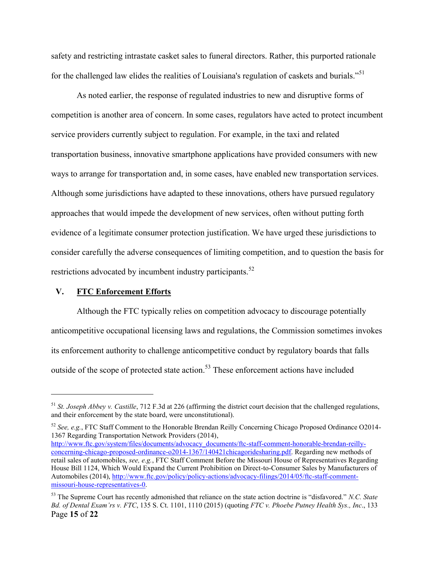safety and restricting intrastate casket sales to funeral directors. Rather, this purported rationale for the challenged law elides the realities of Louisiana's regulation of caskets and burials."<sup>51</sup>

As noted earlier, the response of regulated industries to new and disruptive forms of competition is another area of concern. In some cases, regulators have acted to protect incumbent service providers currently subject to regulation. For example, in the taxi and related transportation business, innovative smartphone applications have provided consumers with new ways to arrange for transportation and, in some cases, have enabled new transportation services. Although some jurisdictions have adapted to these innovations, others have pursued regulatory approaches that would impede the development of new services, often without putting forth evidence of a legitimate consumer protection justification. We have urged these jurisdictions to consider carefully the adverse consequences of limiting competition, and to question the basis for restrictions advocated by incumbent industry participants.<sup>52</sup>

#### **V. FTC Enforcement Efforts**

 $\overline{a}$ 

Although the FTC typically relies on competition advocacy to discourage potentially anticompetitive occupational licensing laws and regulations, the Commission sometimes invokes its enforcement authority to challenge anticompetitive conduct by regulatory boards that falls outside of the scope of protected state action.<sup>53</sup> These enforcement actions have included

<sup>52</sup> *See, e.g.*, [FTC Staff Comment to the Honorable Brendan Reilly Concerning Chicago Proposed Ordinance O2014-](http://www.ftc.gov/system/files/documents/advocacy_documents/ftc-staff-comment-honorable-brendan-reilly-concerning-chicago-proposed-ordinance-o2014-1367/140421chicagoridesharing.pdf) [1367 Regarding Transportation Network Providers \(2014\),](http://www.ftc.gov/system/files/documents/advocacy_documents/ftc-staff-comment-honorable-brendan-reilly-concerning-chicago-proposed-ordinance-o2014-1367/140421chicagoridesharing.pdf)

<sup>51</sup> *St. Joseph Abbey v. Castille*, 712 F.3d at 226 (affirming the district court decision that the challenged regulations, and their enforcement by the state board, were unconstitutional).

[http://www.ftc.gov/system/files/documents/advocacy\\_documents/ftc-staff-comment-honorable-brendan-reilly](http://www.ftc.gov/system/files/documents/advocacy_documents/ftc-staff-comment-honorable-brendan-reilly-concerning-chicago-proposed-ordinance-o2014-1367/140421chicagoridesharing.pdf)[concerning-chicago-proposed-ordinance-o2014-1367/140421chicagoridesharing.pdf.](http://www.ftc.gov/system/files/documents/advocacy_documents/ftc-staff-comment-honorable-brendan-reilly-concerning-chicago-proposed-ordinance-o2014-1367/140421chicagoridesharing.pdf) Regarding new methods of retail sales of automobiles, *see, e.g.*, [FTC Staff Comment Before the Missouri House of Representatives Regarding](http://www.ftc.gov/policy/policy-actions/advocacy-filings/2014/05/ftc-staff-comment-missouri-house-representatives-0)  [House Bill 1124, Which Would Expand the Current Prohibition on Direct-to-Consumer Sales by Manufacturers of](http://www.ftc.gov/policy/policy-actions/advocacy-filings/2014/05/ftc-staff-comment-missouri-house-representatives-0)  [Automobiles](http://www.ftc.gov/policy/policy-actions/advocacy-filings/2014/05/ftc-staff-comment-missouri-house-representatives-0) (2014), [http://www.ftc.gov/policy/policy-actions/advocacy-filings/2014/05/ftc-staff-comment](http://www.ftc.gov/policy/policy-actions/advocacy-filings/2014/05/ftc-staff-comment-missouri-house-representatives-0)[missouri-house-representatives-0.](http://www.ftc.gov/policy/policy-actions/advocacy-filings/2014/05/ftc-staff-comment-missouri-house-representatives-0)

Page **15** of **22** <sup>53</sup> The Supreme Court has recently admonished that reliance on the state action doctrine is "disfavored." *N.C. State Bd. of Dental Exam'rs v. FTC*, 135 S. Ct. 1101, 1110 (2015) (quoting *FTC v. Phoebe Putney Health Sys., Inc*., 133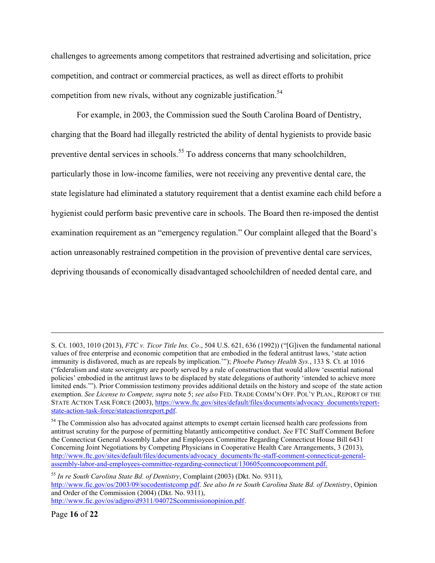challenges to agreements among competitors that restrained advertising and solicitation, price competition, and contract or commercial practices, as well as direct efforts to prohibit competition from new rivals, without any cognizable justification.<sup>54</sup>

<span id="page-15-0"></span>For example, in 2003, the Commission sued the South Carolina Board of Dentistry, charging that the Board had illegally restricted the ability of dental hygienists to provide basic preventive dental services in schools.<sup>55</sup> To address concerns that many schoolchildren, particularly those in low-income families, were not receiving any preventive dental care, the state legislature had eliminated a statutory requirement that a dentist examine each child before a hygienist could perform basic preventive care in schools. The Board then re-imposed the dentist examination requirement as an "emergency regulation." Our complaint alleged that the Board's action unreasonably restrained competition in the provision of preventive dental care services, depriving thousands of economically disadvantaged schoolchildren of needed dental care, and

<sup>55</sup> *In re South Carolina State Bd. of Dentistry*, Complaint (2003) (Dkt. No. 9311), [http://www.fic.gov/os/2003/09/socodentistcomp.pdf.](http://www.fic.gov/os/2003/09/socodentistcomp.pdf) *See also In re South Carolina State Bd. of Dentistry*, Opinion and Order of the Commission (2004) (Dkt. No. 9311), [http://www.fic.gov/os/adjpro/d9311/04072Scommissionopinion.pdf.](http://www.fic.gov/os/adjpro/d9311/04072Scommissionopinion.pdf)

S. Ct. 1003, 1010 (2013), *FTC v. Ticor Title Ins. Co*., 504 U.S. 621, 636 (1992)) ("[G]iven the fundamental national values of free enterprise and economic competition that are embodied in the federal antitrust laws, 'state action immunity is disfavored, much as are repeals by implication.'"); *Phoebe Putney Health Sys.*, 133 S. Ct. at 1016 ("federalism and state sovereignty are poorly served by a rule of construction that would allow 'essential national policies' embodied in the antitrust laws to be displaced by state delegations of authority 'intended to achieve more limited ends.'"). Prior Commission testimony provides additional details on the history and scope of the state action exemption. *See License to Compete, supra* note [5;](#page-3-0) *see also* FED. TRADE COMM'N OFF. POL'Y PLAN., REPORT OF THE STATE ACTION TASK FORCE (2003), [https://www.ftc.gov/sites/default/files/documents/advocacy\\_documents/report](https://www.ftc.gov/sites/default/files/documents/advocacy_documents/report-state-action-task-force/stateactionreport.pdf)[state-action-task-force/stateactionreport.pdf.](https://www.ftc.gov/sites/default/files/documents/advocacy_documents/report-state-action-task-force/stateactionreport.pdf)

<sup>&</sup>lt;sup>54</sup> The Commission also has advocated against attempts to exempt certain licensed health care professions from antitrust scrutiny for the purpose of permitting blatantly anticompetitive conduct. *See* [FTC Staff Comment Before](http://www.ftc.gov/sites/default/files/documents/advocacy_documents/ftc-staff-comment-connecticut-general-assembly-labor-and-employees-committee-regarding-connecticut/130605conncoopcomment.pdf)  [the Connecticut General Assembly Labor and Employees Committee Regarding Connecticut House Bill 6431](http://www.ftc.gov/sites/default/files/documents/advocacy_documents/ftc-staff-comment-connecticut-general-assembly-labor-and-employees-committee-regarding-connecticut/130605conncoopcomment.pdf)  [Concerning Joint Negotiations by Competing Physicians in Cooperative Health Care Arrangements,](http://www.ftc.gov/sites/default/files/documents/advocacy_documents/ftc-staff-comment-connecticut-general-assembly-labor-and-employees-committee-regarding-connecticut/130605conncoopcomment.pdf) 3 (2013), [http://www.ftc.gov/sites/default/files/documents/advocacy\\_documents/ftc-staff-comment-connecticut-general](http://www.ftc.gov/sites/default/files/documents/advocacy_documents/ftc-staff-comment-connecticut-general-assembly-labor-and-employees-committee-regarding-connecticut/130605conncoopcomment.pdf)[assembly-labor-and-employees-committee-regarding-connecticut/130605conncoopcomment.pdf.](http://www.ftc.gov/sites/default/files/documents/advocacy_documents/ftc-staff-comment-connecticut-general-assembly-labor-and-employees-committee-regarding-connecticut/130605conncoopcomment.pdf)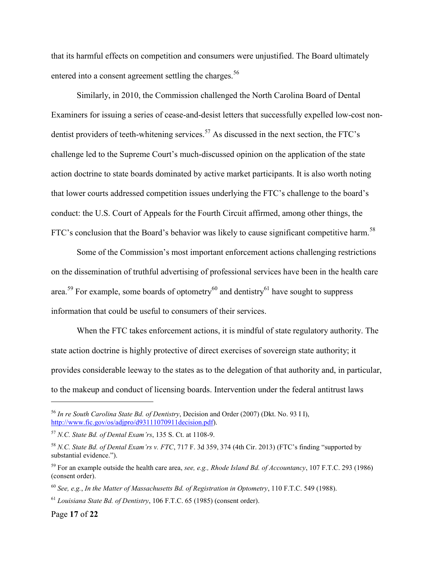<span id="page-16-0"></span>that its harmful effects on competition and consumers were unjustified. The Board ultimately entered into a consent agreement settling the charges.<sup>56</sup>

Similarly, in 2010, the Commission challenged the North Carolina Board of Dental Examiners for issuing a series of cease-and-desist letters that successfully expelled low-cost nondentist providers of teeth-whitening services.<sup>57</sup> As discussed in the next section, the FTC's challenge led to the Supreme Court's much-discussed opinion on the application of the state action doctrine to state boards dominated by active market participants. It is also worth noting that lower courts addressed competition issues underlying the FTC's challenge to the board's conduct: the U.S. Court of Appeals for the Fourth Circuit affirmed, among other things, the FTC's conclusion that the Board's behavior was likely to cause significant competitive harm.<sup>58</sup>

Some of the Commission's most important enforcement actions challenging restrictions on the dissemination of truthful advertising of professional services have been in the health care area.<sup>59</sup> For example, some boards of optometry<sup>60</sup> and dentistry<sup>61</sup> have sought to suppress information that could be useful to consumers of their services.

When the FTC takes enforcement actions, it is mindful of state regulatory authority. The state action doctrine is highly protective of direct exercises of sovereign state authority; it provides considerable leeway to the states as to the delegation of that authority and, in particular, to the makeup and conduct of licensing boards. Intervention under the federal antitrust laws

<sup>56</sup> *In re South Carolina State Bd. of Dentistry*, Decision and Order (2007) (Dkt. No. 93 I I), [http://www.fic.gov/os/adjpro/d93111070911decision.pdf\)](http://www.fic.gov/os/adjpro/d93111070911decision.pdf).

<sup>57</sup> *N.C. State Bd. of Dental Exam'rs*, 135 S. Ct. at 1108-9.

<sup>58</sup> *N.C. State Bd. of Dental Exam'rs v. FTC*, 717 F. 3d 359, 374 (4th Cir. 2013) (FTC's finding "supported by substantial evidence.").

<sup>59</sup> For an example outside the health care area, *see, e.g., Rhode Island Bd. of Accountancy*, 107 F.T.C. 293 (1986) (consent order).

<sup>60</sup> *See, e.g.*, *In the Matter of Massachusetts Bd. of Registration in Optometry*, 110 F.T.C. 549 (1988).

<sup>61</sup> *Louisiana State Bd. of Dentistry*, 106 F.T.C. 65 (1985) (consent order).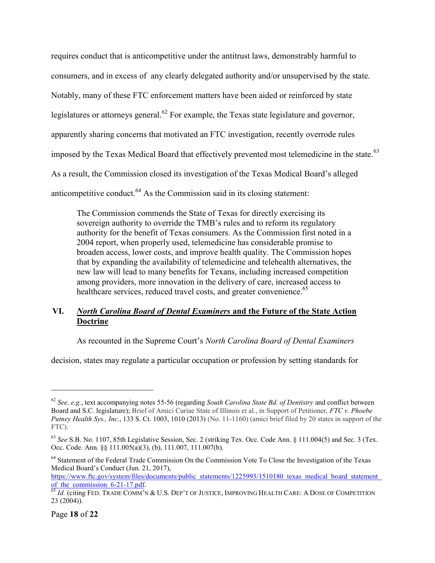requires conduct that is anticompetitive under the antitrust laws, demonstrably harmful to consumers, and in excess of any clearly delegated authority and/or unsupervised by the state. Notably, many of these FTC enforcement matters have been aided or reinforced by state legislatures or attorneys general.<sup>62</sup> For example, the Texas state legislature and governor, apparently sharing concerns that motivated an FTC investigation, recently overrode rules imposed by the Texas Medical Board that effectively prevented most telemedicine in the state.<sup>63</sup> As a result, the Commission closed its investigation of the Texas Medical Board's alleged anticompetitive conduct. $^{64}$  As the Commission said in its closing statement:

The Commission commends the State of Texas for directly exercising its sovereign authority to override the TMB's rules and to reform its regulatory authority for the benefit of Texas consumers. As the Commission first noted in a 2004 report, when properly used, telemedicine has considerable promise to broaden access, lower costs, and improve health quality. The Commission hopes that by expanding the availability of telemedicine and telehealth alternatives, the new law will lead to many benefits for Texans, including increased competition among providers, more innovation in the delivery of care, increased access to healthcare services, reduced travel costs, and greater convenience.<sup>65</sup>

### **VI.** *North Carolina Board of Dental Examiners* **and the Future of the State Action Doctrine**

As recounted in the Supreme Court's *North Carolina Board of Dental Examiners*

decision, states may regulate a particular occupation or profession by setting standards for

<sup>62</sup> *See, e.g.*, text accompanying notes [55](#page-15-0)[-56](#page-16-0) (regarding *South Carolina State Bd. of Dentistry* and conflict between Board and S.C. legislature); Brief of Amici Curiae State of Illinois et al., in Support of Petitioner, *FTC v. Phoebe Putney Health Sys., Inc.*, 133 S. Ct. 1003, 1010 (2013) (No. 11-1160) (amici brief filed by 20 states in support of the FTC).

<sup>63</sup> *See* S.B. No. 1107, 85th Legislative Session, Sec. 2 (striking Tex. Occ. Code Ann. § 111.004(5) and Sec. 3 (Tex. Occ. Code. Ann. §§ 111.005(a)(3), (b), 111.007, 111.007(b).

<sup>&</sup>lt;sup>64</sup> Statement of the Federal Trade Commission On the Commission Vote To Close the Investigation of the Texas Medical Board's Conduct (Jun. 21, 2017),

https://www.ftc.gov/system/files/documents/public\_statements/1225993/1510180\_texas\_medical\_board\_statement of the commission  $\overline{6-21-17}$ .pdf.

<sup>&</sup>lt;sup>65</sup> *Id.* (citing Fed. Trade Comm'n & U.S. Dep't of Justice, Improving Health Care: A Dose of Competition 23 (2004)).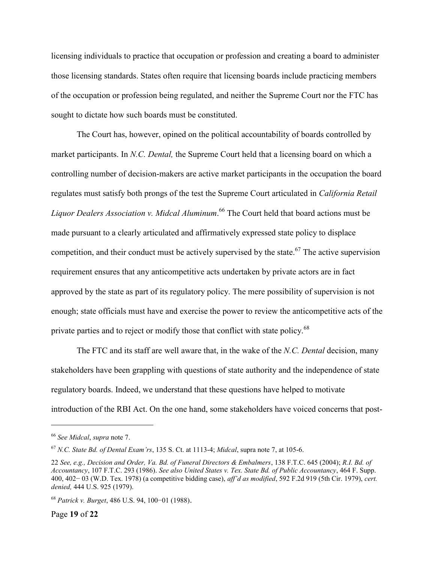licensing individuals to practice that occupation or profession and creating a board to administer those licensing standards. States often require that licensing boards include practicing members of the occupation or profession being regulated, and neither the Supreme Court nor the FTC has sought to dictate how such boards must be constituted.

The Court has, however, opined on the political accountability of boards controlled by market participants. In *N.C. Dental,* the Supreme Court held that a licensing board on which a controlling number of decision-makers are active market participants in the occupation the board regulates must satisfy both prongs of the test the Supreme Court articulated in *California Retail Liquor Dealers Association v. Midcal Aluminum*. <sup>66</sup> The Court held that board actions must be made pursuant to a clearly articulated and affirmatively expressed state policy to displace competition, and their conduct must be actively supervised by the state.<sup>67</sup> The active supervision requirement ensures that any anticompetitive acts undertaken by private actors are in fact approved by the state as part of its regulatory policy. The mere possibility of supervision is not enough; state officials must have and exercise the power to review the anticompetitive acts of the private parties and to reject or modify those that conflict with state policy.<sup>68</sup>

The FTC and its staff are well aware that, in the wake of the *N.C. Dental* decision, many stakeholders have been grappling with questions of state authority and the independence of state regulatory boards. Indeed, we understand that these questions have helped to motivate introduction of the RBI Act. On the one hand, some stakeholders have voiced concerns that post-

Page **19** of **22**

<sup>66</sup> *See Midcal*, *supra* not[e 7.](#page-4-0)

<sup>67</sup> *N.C. State Bd. of Dental Exam'rs*, 135 S. Ct. at 1113-4; *Midcal*, supra note [7,](#page-4-0) at 105-6.

<sup>22</sup> *See, e.g., Decision and Order, Va. Bd. of Funeral Directors & Embalmers*, 138 F.T.C. 645 (2004); *R.I. Bd. of Accountancy*, 107 F.T.C. 293 (1986). *See also United States v. Tex. State Bd. of Public Accountancy*, 464 F. Supp. 400, 402− 03 (W.D. Tex. 1978) (a competitive bidding case), *aff'd as modified*, 592 F.2d 919 (5th Cir. 1979), *cert. denied,* 444 U.S. 925 (1979).

<sup>68</sup> *Patrick v. Burget*, 486 U.S. 94, 100−01 (1988).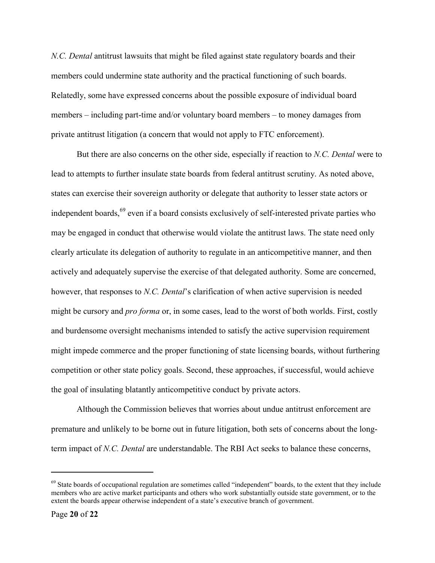*N.C. Dental* antitrust lawsuits that might be filed against state regulatory boards and their members could undermine state authority and the practical functioning of such boards. Relatedly, some have expressed concerns about the possible exposure of individual board members – including part-time and/or voluntary board members – to money damages from private antitrust litigation (a concern that would not apply to FTC enforcement).

But there are also concerns on the other side, especially if reaction to *N.C. Dental* were to lead to attempts to further insulate state boards from federal antitrust scrutiny. As noted above, states can exercise their sovereign authority or delegate that authority to lesser state actors or independent boards,<sup>69</sup> even if a board consists exclusively of self-interested private parties who may be engaged in conduct that otherwise would violate the antitrust laws. The state need only clearly articulate its delegation of authority to regulate in an anticompetitive manner, and then actively and adequately supervise the exercise of that delegated authority. Some are concerned, however, that responses to *N.C. Dental*'s clarification of when active supervision is needed might be cursory and *pro forma* or, in some cases, lead to the worst of both worlds. First, costly and burdensome oversight mechanisms intended to satisfy the active supervision requirement might impede commerce and the proper functioning of state licensing boards, without furthering competition or other state policy goals. Second, these approaches, if successful, would achieve the goal of insulating blatantly anticompetitive conduct by private actors.

Although the Commission believes that worries about undue antitrust enforcement are premature and unlikely to be borne out in future litigation, both sets of concerns about the longterm impact of *N.C. Dental* are understandable. The RBI Act seeks to balance these concerns,

<sup>&</sup>lt;sup>69</sup> State boards of occupational regulation are sometimes called "independent" boards, to the extent that they include members who are active market participants and others who work substantially outside state government, or to the extent the boards appear otherwise independent of a state's executive branch of government.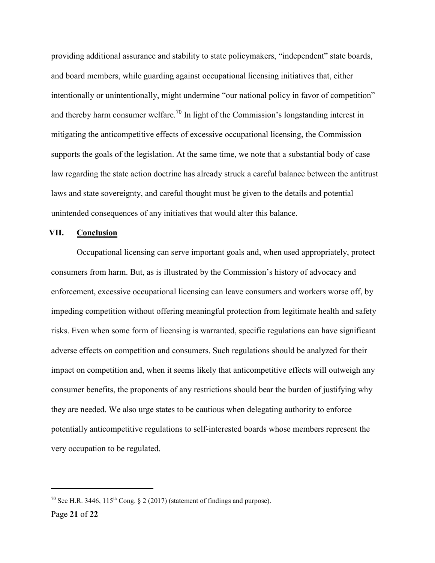providing additional assurance and stability to state policymakers, "independent" state boards, and board members, while guarding against occupational licensing initiatives that, either intentionally or unintentionally, might undermine "our national policy in favor of competition" and thereby harm consumer welfare.<sup>70</sup> In light of the Commission's longstanding interest in mitigating the anticompetitive effects of excessive occupational licensing, the Commission supports the goals of the legislation. At the same time, we note that a substantial body of case law regarding the state action doctrine has already struck a careful balance between the antitrust laws and state sovereignty, and careful thought must be given to the details and potential unintended consequences of any initiatives that would alter this balance.

#### **VII. Conclusion**

Occupational licensing can serve important goals and, when used appropriately, protect consumers from harm. But, as is illustrated by the Commission's history of advocacy and enforcement, excessive occupational licensing can leave consumers and workers worse off, by impeding competition without offering meaningful protection from legitimate health and safety risks. Even when some form of licensing is warranted, specific regulations can have significant adverse effects on competition and consumers. Such regulations should be analyzed for their impact on competition and, when it seems likely that anticompetitive effects will outweigh any consumer benefits, the proponents of any restrictions should bear the burden of justifying why they are needed. We also urge states to be cautious when delegating authority to enforce potentially anticompetitive regulations to self-interested boards whose members represent the very occupation to be regulated.

<sup>&</sup>lt;sup>70</sup> See H.R. 3446,  $115^{th}$  Cong. § 2 (2017) (statement of findings and purpose).